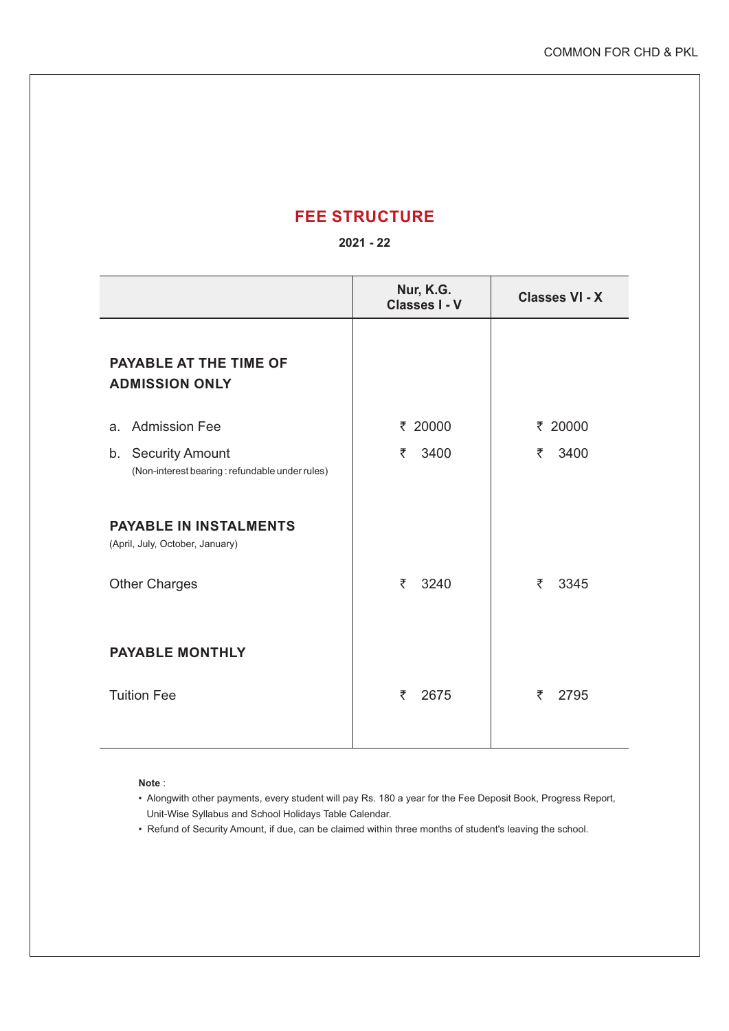## **FEE STRUCTURE**

## **2021 - 22**

|                                                                      | Nur, K.G.<br><b>Classes I - V</b> | <b>Classes VI - X</b> |
|----------------------------------------------------------------------|-----------------------------------|-----------------------|
| <b>PAYABLE AT THE TIME OF</b><br><b>ADMISSION ONLY</b>               |                                   |                       |
| <b>Admission Fee</b><br>a.                                           | ₹ 20000                           | ₹ 20000               |
| b. Security Amount<br>(Non-interest bearing: refundable under rules) | ₹<br>3400                         | ₹<br>3400             |
| <b>PAYABLE IN INSTALMENTS</b><br>(April, July, October, January)     |                                   |                       |
| <b>Other Charges</b>                                                 | 3240<br>₹                         | ₹<br>3345             |
| <b>PAYABLE MONTHLY</b>                                               |                                   |                       |
| <b>Tuition Fee</b>                                                   | 2675<br>₹                         | ₹<br>2795             |

**Note** :

- Alongwith other payments, every student will pay Rs. 180 a year for the Fee Deposit Book, Progress Report, Unit-Wise Syllabus and School Holidays Table Calendar.
- Refund of Security Amount, if due, can be claimed within three months of student's leaving the school.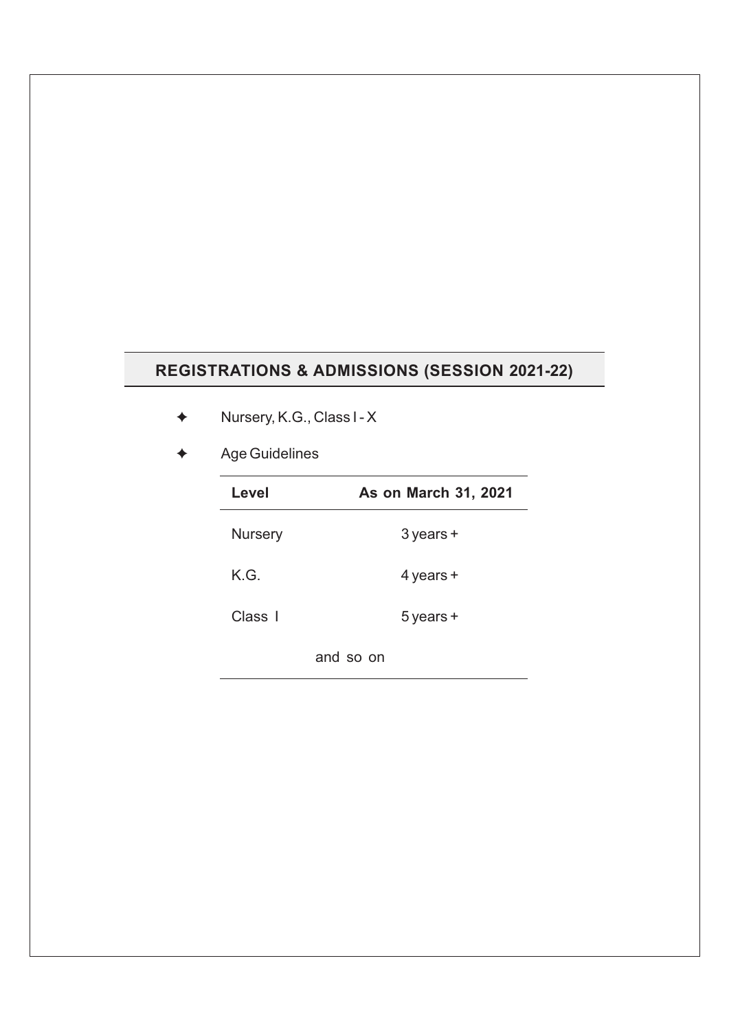## **REGISTRATIONS & ADMISSIONS (SESSION 2021-22)**

- Nursery, K.G., Class I X
- Age Guidelines

| Level          | <b>As on March 31, 2021</b> |  |
|----------------|-----------------------------|--|
| <b>Nursery</b> | $3$ years $+$               |  |
| K.G.           | 4 years +                   |  |
| Class I        | $5$ years $+$               |  |
|                | and so on                   |  |